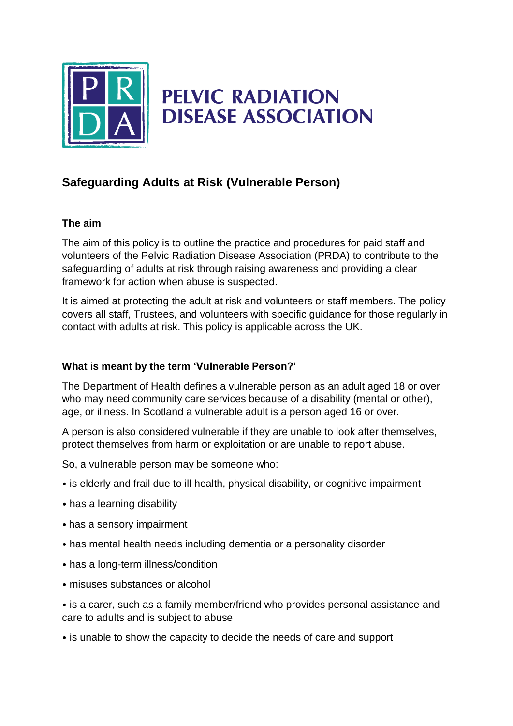

# **PELVIC RADIATION DISEASE ASSOCIATION**

# **Safeguarding Adults at Risk (Vulnerable Person)**

#### **The aim**

The aim of this policy is to outline the practice and procedures for paid staff and volunteers of the Pelvic Radiation Disease Association (PRDA) to contribute to the safeguarding of adults at risk through raising awareness and providing a clear framework for action when abuse is suspected.

It is aimed at protecting the adult at risk and volunteers or staff members. The policy covers all staff, Trustees, and volunteers with specific guidance for those regularly in contact with adults at risk. This policy is applicable across the UK.

# **What is meant by the term 'Vulnerable Person?'**

The Department of Health defines a vulnerable person as an adult aged 18 or over who may need community care services because of a disability (mental or other), age, or illness. In Scotland a vulnerable adult is a person aged 16 or over.

A person is also considered vulnerable if they are unable to look after themselves, protect themselves from harm or exploitation or are unable to report abuse.

So, a vulnerable person may be someone who:

- is elderly and frail due to ill health, physical disability, or cognitive impairment
- has a learning disability
- has a sensory impairment
- has mental health needs including dementia or a personality disorder
- has a long-term illness/condition
- misuses substances or alcohol

• is a carer, such as a family member/friend who provides personal assistance and care to adults and is subject to abuse

• is unable to show the capacity to decide the needs of care and support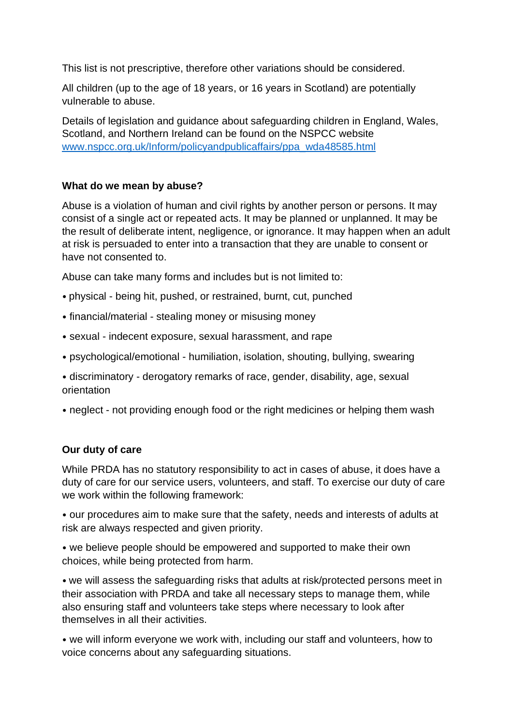This list is not prescriptive, therefore other variations should be considered.

All children (up to the age of 18 years, or 16 years in Scotland) are potentially vulnerable to abuse.

Details of legislation and guidance about safeguarding children in England, Wales, Scotland, and Northern Ireland can be found on the NSPCC website [www.nspcc.org.uk/Inform/policyandpublicaffairs/ppa\\_wda48585.html](http://www.nspcc.org.uk/Inform/policyandpublicaffairs/ppa_wda48585.html)

#### **What do we mean by abuse?**

Abuse is a violation of human and civil rights by another person or persons. It may consist of a single act or repeated acts. It may be planned or unplanned. It may be the result of deliberate intent, negligence, or ignorance. It may happen when an adult at risk is persuaded to enter into a transaction that they are unable to consent or have not consented to.

Abuse can take many forms and includes but is not limited to:

- physical being hit, pushed, or restrained, burnt, cut, punched
- financial/material stealing money or misusing money
- sexual indecent exposure, sexual harassment, and rape
- psychological/emotional humiliation, isolation, shouting, bullying, swearing
- discriminatory derogatory remarks of race, gender, disability, age, sexual orientation
- neglect not providing enough food or the right medicines or helping them wash

# **Our duty of care**

While PRDA has no statutory responsibility to act in cases of abuse, it does have a duty of care for our service users, volunteers, and staff. To exercise our duty of care we work within the following framework:

• our procedures aim to make sure that the safety, needs and interests of adults at risk are always respected and given priority.

• we believe people should be empowered and supported to make their own choices, while being protected from harm.

• we will assess the safeguarding risks that adults at risk/protected persons meet in their association with PRDA and take all necessary steps to manage them, while also ensuring staff and volunteers take steps where necessary to look after themselves in all their activities.

• we will inform everyone we work with, including our staff and volunteers, how to voice concerns about any safeguarding situations.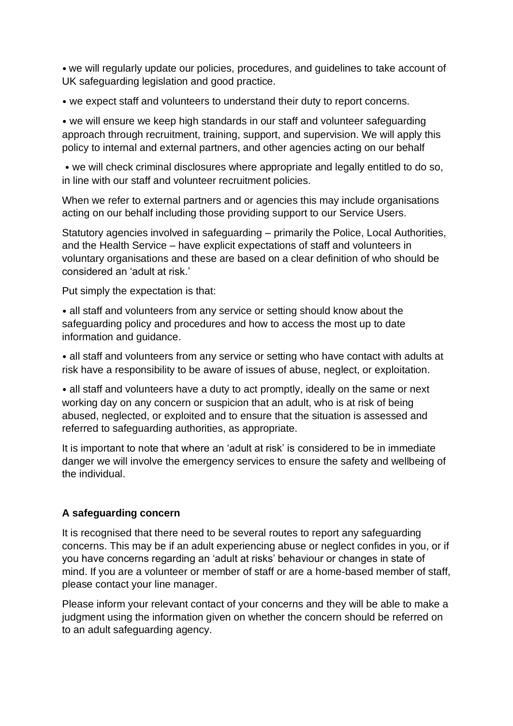• we will regularly update our policies, procedures, and guidelines to take account of UK safeguarding legislation and good practice.

• we expect staff and volunteers to understand their duty to report concerns.

• we will ensure we keep high standards in our staff and volunteer safeguarding approach through recruitment, training, support, and supervision. We will apply this policy to internal and external partners, and other agencies acting on our behalf

• we will check criminal disclosures where appropriate and legally entitled to do so, in line with our staff and volunteer recruitment policies.

When we refer to external partners and or agencies this may include organisations acting on our behalf including those providing support to our Service Users.

Statutory agencies involved in safeguarding – primarily the Police, Local Authorities, and the Health Service – have explicit expectations of staff and volunteers in voluntary organisations and these are based on a clear definition of who should be considered an 'adult at risk.'

Put simply the expectation is that:

• all staff and volunteers from any service or setting should know about the safeguarding policy and procedures and how to access the most up to date information and guidance.

• all staff and volunteers from any service or setting who have contact with adults at risk have a responsibility to be aware of issues of abuse, neglect, or exploitation.

• all staff and volunteers have a duty to act promptly, ideally on the same or next working day on any concern or suspicion that an adult, who is at risk of being abused, neglected, or exploited and to ensure that the situation is assessed and referred to safeguarding authorities, as appropriate.

It is important to note that where an 'adult at risk' is considered to be in immediate danger we will involve the emergency services to ensure the safety and wellbeing of the individual.

# **A safeguarding concern**

It is recognised that there need to be several routes to report any safeguarding concerns. This may be if an adult experiencing abuse or neglect confides in you, or if you have concerns regarding an 'adult at risks' behaviour or changes in state of mind. If you are a volunteer or member of staff or are a home-based member of staff, please contact your line manager.

Please inform your relevant contact of your concerns and they will be able to make a judgment using the information given on whether the concern should be referred on to an adult safeguarding agency.